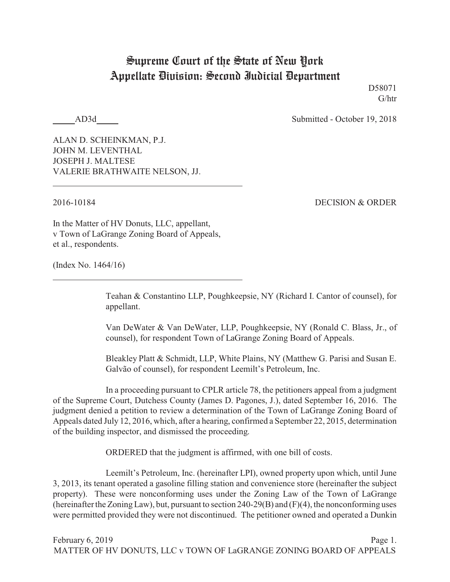## Supreme Court of the State of New York Appellate Division: Second Judicial Department

D58071 G/htr

AD3d Submitted - October 19, 2018

ALAN D. SCHEINKMAN, P.J. JOHN M. LEVENTHAL JOSEPH J. MALTESE VALERIE BRATHWAITE NELSON, JJ.

2016-10184 DECISION & ORDER

In the Matter of HV Donuts, LLC, appellant, v Town of LaGrange Zoning Board of Appeals, et al., respondents.

(Index No. 1464/16)

Teahan & Constantino LLP, Poughkeepsie, NY (Richard I. Cantor of counsel), for appellant.

Van DeWater & Van DeWater, LLP, Poughkeepsie, NY (Ronald C. Blass, Jr., of counsel), for respondent Town of LaGrange Zoning Board of Appeals.

Bleakley Platt & Schmidt, LLP, White Plains, NY (Matthew G. Parisi and Susan E. Galvão of counsel), for respondent Leemilt's Petroleum, Inc.

In a proceeding pursuant to CPLR article 78, the petitioners appeal from a judgment of the Supreme Court, Dutchess County (James D. Pagones, J.), dated September 16, 2016. The judgment denied a petition to review a determination of the Town of LaGrange Zoning Board of Appeals dated July 12, 2016, which, after a hearing, confirmed a September 22, 2015, determination of the building inspector, and dismissed the proceeding.

ORDERED that the judgment is affirmed, with one bill of costs.

Leemilt's Petroleum, Inc. (hereinafter LPI), owned property upon which, until June 3, 2013, its tenant operated a gasoline filling station and convenience store (hereinafter the subject property). These were nonconforming uses under the Zoning Law of the Town of LaGrange (hereinafter the Zoning Law), but, pursuant to section 240-29(B) and  $(F)(4)$ , the nonconforming uses were permitted provided they were not discontinued. The petitioner owned and operated a Dunkin

February 6, 2019 Page 1. MATTER OF HV DONUTS, LLC v TOWN OF LaGRANGE ZONING BOARD OF APPEALS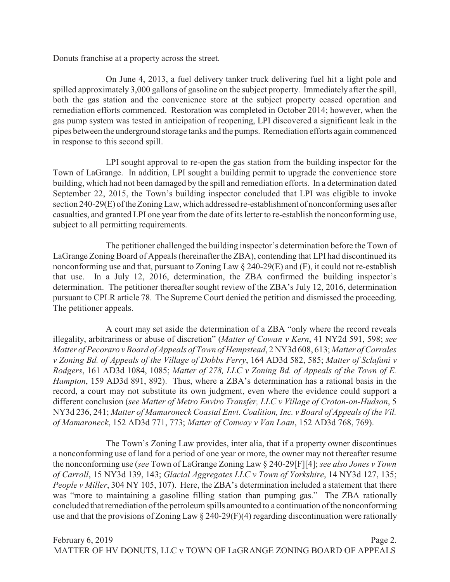Donuts franchise at a property across the street.

On June 4, 2013, a fuel delivery tanker truck delivering fuel hit a light pole and spilled approximately 3,000 gallons of gasoline on the subject property. Immediately after the spill, both the gas station and the convenience store at the subject property ceased operation and remediation efforts commenced. Restoration was completed in October 2014; however, when the gas pump system was tested in anticipation of reopening, LPI discovered a significant leak in the pipes between the underground storage tanks and the pumps. Remediation efforts again commenced in response to this second spill.

LPI sought approval to re-open the gas station from the building inspector for the Town of LaGrange. In addition, LPI sought a building permit to upgrade the convenience store building, which had not been damaged by the spill and remediation efforts. In a determination dated September 22, 2015, the Town's building inspector concluded that LPI was eligible to invoke section 240-29(E) of the ZoningLaw, which addressed re-establishment of nonconforming uses after casualties, and granted LPI one year from the date of its letter to re-establish the nonconforming use, subject to all permitting requirements.

The petitioner challenged the building inspector's determination before the Town of LaGrange Zoning Board of Appeals (hereinafter the ZBA), contending that LPI had discontinued its nonconforming use and that, pursuant to Zoning Law § 240-29(E) and (F), it could not re-establish that use. In a July 12, 2016, determination, the ZBA confirmed the building inspector's determination. The petitioner thereafter sought review of the ZBA's July 12, 2016, determination pursuant to CPLR article 78. The Supreme Court denied the petition and dismissed the proceeding. The petitioner appeals.

A court may set aside the determination of a ZBA "only where the record reveals illegality, arbitrariness or abuse of discretion" (*Matter of Cowan v Kern*, 41 NY2d 591, 598; *see Matter of Pecoraro v Board of Appeals of Town of Hempstead*, 2 NY3d 608, 613; *Matter of Corrales v Zoning Bd. of Appeals of the Village of Dobbs Ferry*, 164 AD3d 582, 585; *Matter of Sclafani v Rodgers*, 161 AD3d 1084, 1085; *Matter of 278, LLC v Zoning Bd. of Appeals of the Town of E. Hampton*, 159 AD3d 891, 892). Thus, where a ZBA's determination has a rational basis in the record, a court may not substitute its own judgment, even where the evidence could support a different conclusion (*see Matter of Metro Enviro Transfer, LLC v Village of Croton-on-Hudson*, 5 NY3d 236, 241; *Matter of Mamaroneck Coastal Envt. Coalition, Inc. v Board of Appeals of the Vil. of Mamaroneck*, 152 AD3d 771, 773; *Matter of Conway v Van Loan*, 152 AD3d 768, 769).

The Town's Zoning Law provides, inter alia, that if a property owner discontinues a nonconforming use of land for a period of one year or more, the owner may not thereafter resume the nonconforming use (*see* Town of LaGrange Zoning Law § 240-29[F][4]; *see also Jones v Town of Carroll*, 15 NY3d 139, 143; *Glacial Aggregates LLC v Town of Yorkshire*, 14 NY3d 127, 135; *People v Miller*, 304 NY 105, 107). Here, the ZBA's determination included a statement that there was "more to maintaining a gasoline filling station than pumping gas." The ZBA rationally concluded that remediation of the petroleum spills amounted to a continuation of the nonconforming use and that the provisions of Zoning Law § 240-29(F)(4) regarding discontinuation were rationally